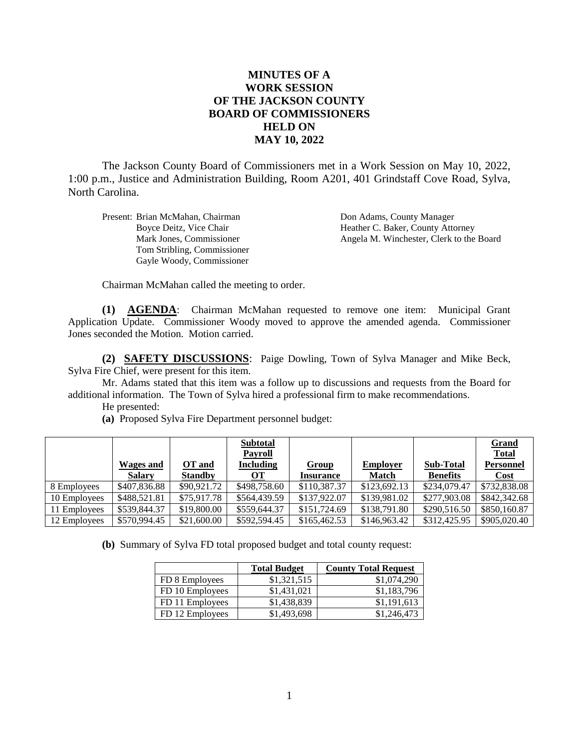## **MINUTES OF A WORK SESSION OF THE JACKSON COUNTY BOARD OF COMMISSIONERS HELD ON MAY 10, 2022**

The Jackson County Board of Commissioners met in a Work Session on May 10, 2022, 1:00 p.m., Justice and Administration Building, Room A201, 401 Grindstaff Cove Road, Sylva, North Carolina.

Present: Brian McMahan, Chairman **Don Adams, County Manager** Tom Stribling, Commissioner Gayle Woody, Commissioner

Boyce Deitz, Vice Chair Heather C. Baker, County Attorney Mark Jones, Commissioner Angela M. Winchester, Clerk to the Board

Chairman McMahan called the meeting to order.

**(1) AGENDA**: Chairman McMahan requested to remove one item: Municipal Grant Application Update. Commissioner Woody moved to approve the amended agenda. Commissioner Jones seconded the Motion. Motion carried.

**(2) SAFETY DISCUSSIONS**: Paige Dowling, Town of Sylva Manager and Mike Beck, Sylva Fire Chief, were present for this item.

Mr. Adams stated that this item was a follow up to discussions and requests from the Board for additional information. The Town of Sylva hired a professional firm to make recommendations.

He presented:

|              |               |                | <b>Subtotal</b><br><b>Payroll</b> |                  |                 |                  | <b>Grand</b><br><b>Total</b> |
|--------------|---------------|----------------|-----------------------------------|------------------|-----------------|------------------|------------------------------|
|              | Wages and     | OT and         | <b>Including</b>                  | Group            | <b>Employer</b> | <b>Sub-Total</b> | <b>Personnel</b>             |
|              | <b>Salary</b> | <b>Standby</b> | OТ                                | <b>Insurance</b> | <b>Match</b>    | <b>Benefits</b>  | Cost                         |
| 8 Employees  | \$407,836.88  | \$90,921.72    | \$498,758.60                      | \$110,387.37     | \$123,692.13    | \$234,079.47     | \$732,838.08                 |
| 10 Employees | \$488,521.81  | \$75,917.78    | \$564,439.59                      | \$137,922.07     | \$139,981.02    | \$277,903.08     | \$842,342.68                 |
| 11 Employees | \$539,844.37  | \$19,800.00    | \$559,644.37                      | \$151,724.69     | \$138,791.80    | \$290,516.50     | \$850,160.87                 |
| 12 Employees | \$570,994.45  | \$21,600.00    | \$592,594.45                      | \$165,462.53     | \$146,963.42    | \$312,425.95     | \$905,020.40                 |

**(a)** Proposed Sylva Fire Department personnel budget:

**(b)** Summary of Sylva FD total proposed budget and total county request:

|                 | <b>Total Budget</b> | <b>County Total Request</b> |
|-----------------|---------------------|-----------------------------|
| FD 8 Employees  | \$1,321,515         | \$1,074,290                 |
| FD 10 Employees | \$1,431,021         | \$1,183,796                 |
| FD 11 Employees | \$1,438,839         | \$1,191,613                 |
| FD 12 Employees | \$1,493,698         | \$1,246,473                 |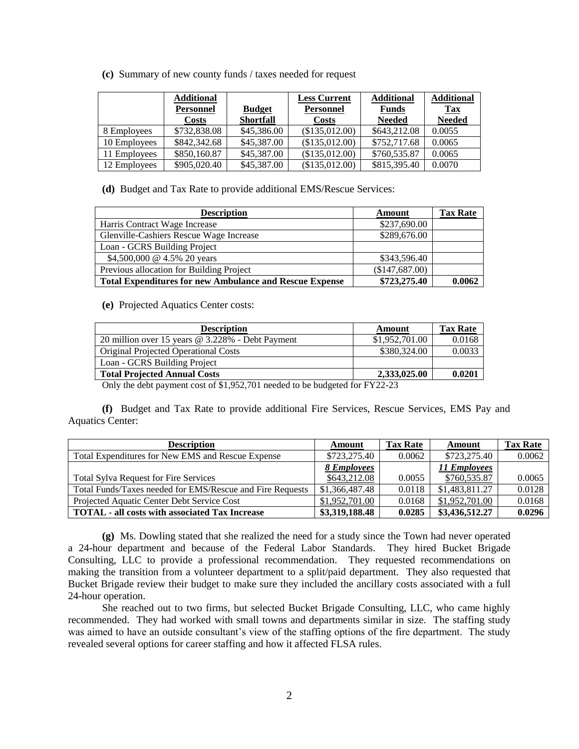**(c)** Summary of new county funds / taxes needed for request

|              | <b>Additional</b> |                  | <b>Less Current</b> | <b>Additional</b> | <b>Additional</b> |
|--------------|-------------------|------------------|---------------------|-------------------|-------------------|
|              | <b>Personnel</b>  | <b>Budget</b>    | <b>Personnel</b>    | <b>Funds</b>      | Tax               |
|              | <b>Costs</b>      | <b>Shortfall</b> | <b>Costs</b>        | <b>Needed</b>     | <b>Needed</b>     |
| 8 Employees  | \$732,838.08      | \$45,386.00      | (\$135,012.00)      | \$643,212.08      | 0.0055            |
| 10 Employees | \$842,342.68      | \$45,387.00      | (\$135,012.00)      | \$752,717.68      | 0.0065            |
| 11 Employees | \$850,160.87      | \$45,387.00      | (\$135,012.00)      | \$760,535.87      | 0.0065            |
| 12 Employees | \$905,020.40      | \$45,387.00      | (\$135,012.00)      | \$815,395.40      | 0.0070            |

**(d)** Budget and Tax Rate to provide additional EMS/Rescue Services:

| <b>Description</b>                                             | Amount         | <b>Tax Rate</b> |
|----------------------------------------------------------------|----------------|-----------------|
| Harris Contract Wage Increase                                  | \$237,690.00   |                 |
| Glenville-Cashiers Rescue Wage Increase                        | \$289,676.00   |                 |
| Loan - GCRS Building Project                                   |                |                 |
| \$4,500,000 @ 4.5% 20 years                                    | \$343,596.40   |                 |
| Previous allocation for Building Project                       | (\$147,687.00) |                 |
| <b>Total Expenditures for new Ambulance and Rescue Expense</b> | \$723,275.40   | 0.0062          |

**(e)** Projected Aquatics Center costs:

| <b>Description</b>                               | Amount         | <b>Tax Rate</b> |
|--------------------------------------------------|----------------|-----------------|
| 20 million over 15 years @ 3.228% - Debt Payment | \$1,952,701.00 | 0.0168          |
| <b>Original Projected Operational Costs</b>      | \$380,324.00   | 0.0033          |
| Loan - GCRS Building Project                     |                |                 |
| <b>Total Projected Annual Costs</b>              | 2,333,025.00   | 0.0201          |

Only the debt payment cost of \$1,952,701 needed to be budgeted for FY22-23

**(f)** Budget and Tax Rate to provide additional Fire Services, Rescue Services, EMS Pay and Aquatics Center:

| <b>Description</b>                                        | Amount         | <b>Tax Rate</b> | Amount         | <b>Tax Rate</b> |
|-----------------------------------------------------------|----------------|-----------------|----------------|-----------------|
| Total Expenditures for New EMS and Rescue Expense         | \$723,275.40   | 0.0062          | \$723,275.40   | 0.0062          |
|                                                           | 8 Employees    |                 | 11 Employees   |                 |
| <b>Total Sylva Request for Fire Services</b>              | \$643,212.08   | 0.0055          | \$760,535.87   | 0.0065          |
| Total Funds/Taxes needed for EMS/Rescue and Fire Requests | \$1,366,487.48 | 0.0118          | \$1,483,811.27 | 0.0128          |
| Projected Aquatic Center Debt Service Cost                | \$1,952,701.00 | 0.0168          | \$1,952,701.00 | 0.0168          |
| <b>TOTAL - all costs with associated Tax Increase</b>     | \$3,319,188.48 | 0.0285          | \$3,436,512.27 | 0.0296          |

**(g)** Ms. Dowling stated that she realized the need for a study since the Town had never operated a 24-hour department and because of the Federal Labor Standards. They hired Bucket Brigade Consulting, LLC to provide a professional recommendation. They requested recommendations on making the transition from a volunteer department to a split/paid department. They also requested that Bucket Brigade review their budget to make sure they included the ancillary costs associated with a full 24-hour operation.

She reached out to two firms, but selected Bucket Brigade Consulting, LLC, who came highly recommended. They had worked with small towns and departments similar in size. The staffing study was aimed to have an outside consultant's view of the staffing options of the fire department. The study revealed several options for career staffing and how it affected FLSA rules.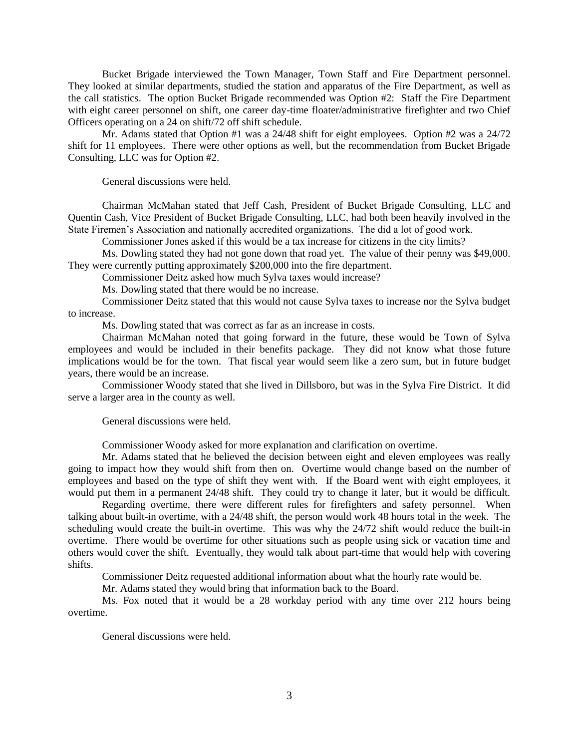Bucket Brigade interviewed the Town Manager, Town Staff and Fire Department personnel. They looked at similar departments, studied the station and apparatus of the Fire Department, as well as the call statistics. The option Bucket Brigade recommended was Option #2: Staff the Fire Department with eight career personnel on shift, one career day-time floater/administrative firefighter and two Chief Officers operating on a 24 on shift/72 off shift schedule.

Mr. Adams stated that Option #1 was a 24/48 shift for eight employees. Option #2 was a 24/72 shift for 11 employees. There were other options as well, but the recommendation from Bucket Brigade Consulting, LLC was for Option #2.

General discussions were held.

Chairman McMahan stated that Jeff Cash, President of Bucket Brigade Consulting, LLC and Quentin Cash, Vice President of Bucket Brigade Consulting, LLC, had both been heavily involved in the State Firemen's Association and nationally accredited organizations. The did a lot of good work.

Commissioner Jones asked if this would be a tax increase for citizens in the city limits?

Ms. Dowling stated they had not gone down that road yet. The value of their penny was \$49,000. They were currently putting approximately \$200,000 into the fire department.

Commissioner Deitz asked how much Sylva taxes would increase?

Ms. Dowling stated that there would be no increase.

Commissioner Deitz stated that this would not cause Sylva taxes to increase nor the Sylva budget to increase.

Ms. Dowling stated that was correct as far as an increase in costs.

Chairman McMahan noted that going forward in the future, these would be Town of Sylva employees and would be included in their benefits package. They did not know what those future implications would be for the town. That fiscal year would seem like a zero sum, but in future budget years, there would be an increase.

Commissioner Woody stated that she lived in Dillsboro, but was in the Sylva Fire District. It did serve a larger area in the county as well.

General discussions were held.

Commissioner Woody asked for more explanation and clarification on overtime.

Mr. Adams stated that he believed the decision between eight and eleven employees was really going to impact how they would shift from then on. Overtime would change based on the number of employees and based on the type of shift they went with. If the Board went with eight employees, it would put them in a permanent 24/48 shift. They could try to change it later, but it would be difficult.

Regarding overtime, there were different rules for firefighters and safety personnel. When talking about built-in overtime, with a 24/48 shift, the person would work 48 hours total in the week. The scheduling would create the built-in overtime. This was why the 24/72 shift would reduce the built-in overtime. There would be overtime for other situations such as people using sick or vacation time and others would cover the shift. Eventually, they would talk about part-time that would help with covering shifts.

Commissioner Deitz requested additional information about what the hourly rate would be.

Mr. Adams stated they would bring that information back to the Board.

Ms. Fox noted that it would be a 28 workday period with any time over 212 hours being overtime.

General discussions were held.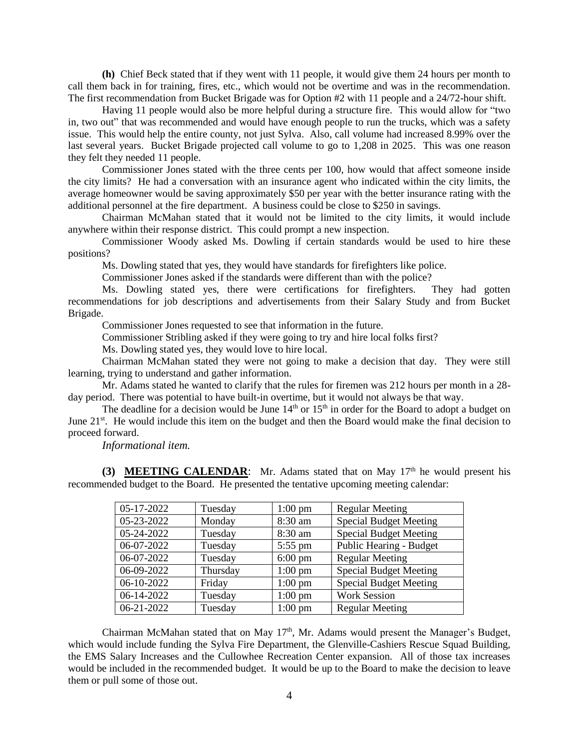**(h)** Chief Beck stated that if they went with 11 people, it would give them 24 hours per month to call them back in for training, fires, etc., which would not be overtime and was in the recommendation. The first recommendation from Bucket Brigade was for Option #2 with 11 people and a 24/72-hour shift.

Having 11 people would also be more helpful during a structure fire. This would allow for "two in, two out" that was recommended and would have enough people to run the trucks, which was a safety issue. This would help the entire county, not just Sylva. Also, call volume had increased 8.99% over the last several years. Bucket Brigade projected call volume to go to 1,208 in 2025. This was one reason they felt they needed 11 people.

Commissioner Jones stated with the three cents per 100, how would that affect someone inside the city limits? He had a conversation with an insurance agent who indicated within the city limits, the average homeowner would be saving approximately \$50 per year with the better insurance rating with the additional personnel at the fire department. A business could be close to \$250 in savings.

Chairman McMahan stated that it would not be limited to the city limits, it would include anywhere within their response district. This could prompt a new inspection.

Commissioner Woody asked Ms. Dowling if certain standards would be used to hire these positions?

Ms. Dowling stated that yes, they would have standards for firefighters like police.

Commissioner Jones asked if the standards were different than with the police?

Ms. Dowling stated yes, there were certifications for firefighters. They had gotten recommendations for job descriptions and advertisements from their Salary Study and from Bucket Brigade.

Commissioner Jones requested to see that information in the future.

Commissioner Stribling asked if they were going to try and hire local folks first?

Ms. Dowling stated yes, they would love to hire local.

Chairman McMahan stated they were not going to make a decision that day. They were still learning, trying to understand and gather information.

Mr. Adams stated he wanted to clarify that the rules for firemen was 212 hours per month in a 28 day period. There was potential to have built-in overtime, but it would not always be that way.

The deadline for a decision would be June 14<sup>th</sup> or 15<sup>th</sup> in order for the Board to adopt a budget on June 21<sup>st</sup>. He would include this item on the budget and then the Board would make the final decision to proceed forward.

*Informational item.*

(3) **MEETING CALENDAR**: Mr. Adams stated that on May 17<sup>th</sup> he would present his recommended budget to the Board. He presented the tentative upcoming meeting calendar:

| 05-17-2022 | Tuesday  | $1:00 \text{ pm}$ | <b>Regular Meeting</b>        |
|------------|----------|-------------------|-------------------------------|
| 05-23-2022 | Monday   | 8:30 am           | <b>Special Budget Meeting</b> |
| 05-24-2022 | Tuesday  | 8:30 am           | <b>Special Budget Meeting</b> |
| 06-07-2022 | Tuesday  | $5:55$ pm         | Public Hearing - Budget       |
| 06-07-2022 | Tuesday  | $6:00 \text{ pm}$ | <b>Regular Meeting</b>        |
| 06-09-2022 | Thursday | $1:00 \text{ pm}$ | <b>Special Budget Meeting</b> |
| 06-10-2022 | Friday   | $1:00$ pm         | <b>Special Budget Meeting</b> |
| 06-14-2022 | Tuesday  | $1:00$ pm         | <b>Work Session</b>           |
| 06-21-2022 | Tuesday  | $1:00$ pm         | <b>Regular Meeting</b>        |

Chairman McMahan stated that on May  $17<sup>th</sup>$ , Mr. Adams would present the Manager's Budget, which would include funding the Sylva Fire Department, the Glenville-Cashiers Rescue Squad Building, the EMS Salary Increases and the Cullowhee Recreation Center expansion. All of those tax increases would be included in the recommended budget. It would be up to the Board to make the decision to leave them or pull some of those out.